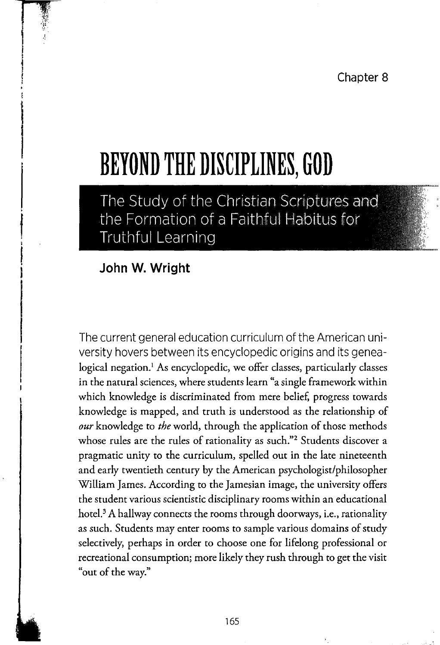**Chapter 8** 

# **BEYOND THE DISCIPLINES, GOD**

The Study of the Christian Scriptures and the Formation of a Faithful Habltus for Truthful Learning

**John W. Wright** 

>

**f** 

 $\mathbf{I}$ I

> The current general education curriculum of the American university hovers between its encyclopedic origins and its genealogical negation.<sup>1</sup> As encyclopedic, we offer classes, particularly classes in the natural sciences, where students learn "a single framework within which knowledge is discriminated from mere belief, progress towards knowledge is mapped, and truth is understood as the relationship of *our* knowledge to *the* world, through the application of those methods whose rules are the rules of rationality as such."<sup>2</sup> Students discover a pragmatic unity to the curriculum, spelled out in the late nineteenth and early twentieth century by the American psychologist/philosopher William James. According to the Jamesian image, the university offers the student various scientistic disciplinary rooms within an educational hotel.<sup>3</sup> A hallway connects the rooms through doorways, i.e., rationality as such. Students may enter rooms to sample various domains of study selectively, perhaps in order to choose one for lifelong professional or recreational consumption; more likely they rush through to get the visit "out of the way."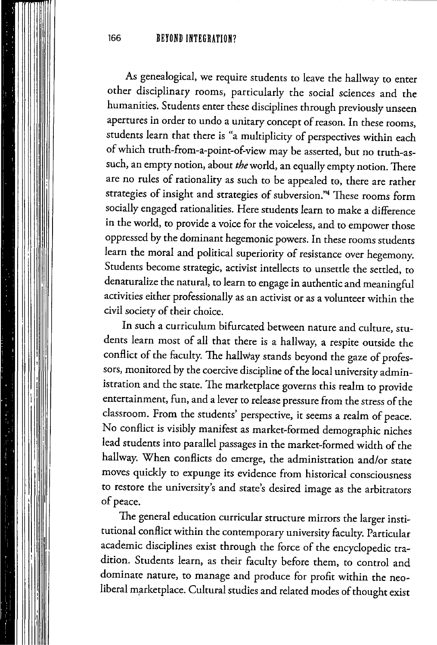*As* genealogical, we require students to leave the hallway to enter other disciplinary rooms, particularly the social sciences and the humanities. Students enter these disciplines through previously unseen apertures in order to undo a unitary concept of reason. In these rooms, students learn that there is "a multiplicity of perspectives within each of which truth-from-a-point-of-view may be asserted, but no truth-assuch, an empty notion, about *the* world, an equally empty notion. There are no rules of rationality as such to be appealed to, there are rather strategies of insight and strategies of subversion."4 These rooms form socially engaged rationalities. Here students learn to make a difference in the world, to provide a voice for the voiceless, and to empower those oppressed by the dominant hegemonic powers. In these rooms students learn the moral and political superiority of resistance over hegemony. Students become strategic, activist intellects to unsettle the settled, to denaturalize the natural, to learn to engage in authentic and meaningful activities either professionally as an activist or as a volunteer within the civil society of their choice.

In such a curriculum bifurcated between nature and culture, students learn most of all that there is a hallway, a respite outside the conflict of the faculty. The hallway stands beyond the gaze of professors, monitored by the coercive discipline of the local university administration and the state. The marketplace governs this realm to provide entertainment, fun, and a lever to release pressure from the stress of the classroom. From the students' perspective, it seems a realm of peace. No conflict is visibly manifest as market-formed demographic niches lead students into parallel passages in the market-formed width of the hallway. When conflicts do emerge, the administration and/or state moves quickly to expunge its evidence from historical consciousness to restore the university's and state's desired image as the arbitrators of peace.

The general education curricular structure mirrors the larger institutional conflict within the contemporary university faculty. Particular academic disciplines exist through the force of the encyclopedic tradition. Students learn, as their faculty before them, to control and dominate nature, to manage and produce for profit within the neoliberal marketplace. Cultural studies and related modes of thought exist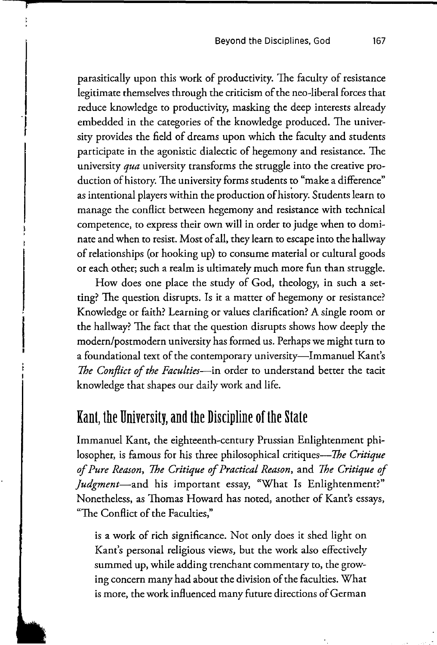parasitically upon this work of productivity. The faculty of resistance legitimate themselves through the criticism of the neo-liberal forces that reduce knowledge to productivity, masking the deep interests already embedded in the categories of the knowledge produced. The university provides the field of dreams upon which the faculty and students participate in the agonistic dialectic of hegemony and resistance. The university *qua* university transforms the struggle into the creative production of history. The university forms students to "make a difference" as intentional players within the production of history. Students learn to manage the conflict between hegemony and resistance with technical competence, to express their own will in order to judge when to dominate and when to resist. Most of all, they learn to escape into the hallway of relationships (or hooking up) to consume material or cultural goods or each other; such a realm is ultimately much more fun than struggle.

How does one place the study of God, theology, in such a setting? The question disrupts. Is it a matter of hegemony or resistance? Knowledge or faith? Learning or values clarification? A single room or the hallway? The fact that the question disrupts shows how deeply the modern/postmodern university has formed us. Perhaps we might turn to a foundational text of the contemporary university-Immanuel Kant's *The Conflict of the Faculties-in* order to understand better the tacit knowledge that shapes our daily work and life.

### **Kant, the University, and the Discipline of the State**

Immanuel Kant, the eighteenth-century Prussian Enlightenment philosopher, is famous for his three philosophical critiques-The Critique *of Pure Reason, The Critique of Practical Reason,* and *The Critique of judgment-and* his important essay, "What Is Enlightenment?" Nonetheless, as Thomas Howard has noted, another of Kant's essays, "The Conflict of the Faculties,"

is a work of rich significance. Not only does it shed light on Kant's personal religious views, but the work also effectively summed up, while adding trenchant commentary to, the growing concern many had about the division of the faculties. What is more, the work influenced many future directions of German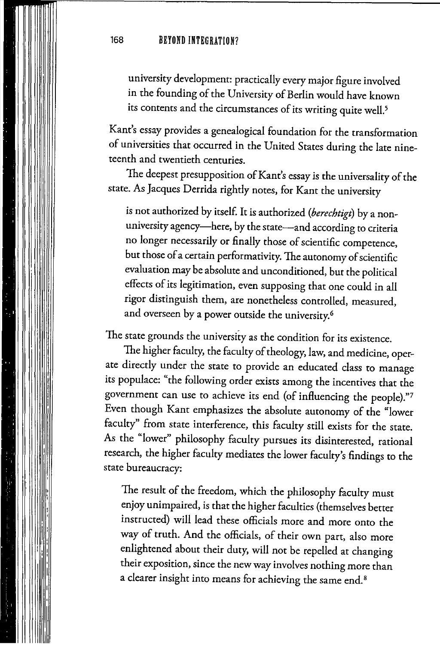university development: practically every major figure involved in the founding of the University of Berlin would have known its contents and the circumstances of its writing quite well.<sup>5</sup>

Kant's essay provides a genealogical foundation for the transformation of universities that occurred in the United States during the late nineteenth and twentieth centuries.

The deepest presupposition of Kant's essay is the universality of the state. As Jacques Derrida rightly notes, for Kant the university

is not authorized by itself. It is authorized *(berechtigt)* by a nonuniversity agency-here, by the state-and according to criteria no longer necessarily or finally those of scientific competence, but those of a certain performativity. The autonomy of scientific evaluation may be absolute and unconditioned, but the political effects of its legitimation, even supposing that one could in all rigor distinguish them, are nonetheless controlled, measured, and overseen by a power outside the university.<sup>6</sup>

The state grounds the university as the condition for its existence.

The higher faculty, the faculty of theology, law, and medicine, operate directly under the state to provide an educated class to manage its populace: "the following order exists among the incentives that the government can use to achieve its end (of influencing the people)."<sup>7</sup> Even though Kant emphasizes the absolute autonomy of the "lower faculty" from state interference, this faculty still exists for the state. As the "lower" philosophy faculty pursues its disinterested, rational research, the higher faculty mediates the lower faculty's findings to the state bureaucracy:

The result of the freedom, which the philosophy faculty must enjoy unimpaired, is that the higher faculties (themselves better instructed) will lead these officials more and more onto the way of truth. And the officials, of their own part, also more enlightened about their duty, will not be repelled at changing their exposition, since the new way involves nothing more than a clearer insight into means for achieving the same end.<sup>8</sup>

i: I: 'MI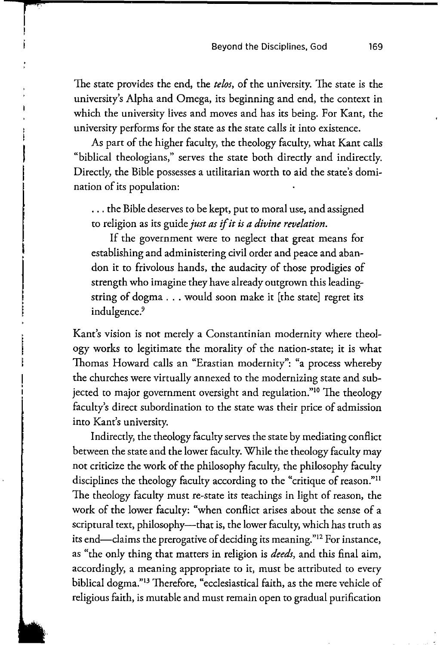The state provides the end, the *telos,* of the university. The state is the university's Alpha and Omega, its beginning and end, the context in which the university lives and moves and has its being. For Kant, the university performs for the state as the state calls it into existence.

As part of the higher faculty, the theology faculty, what Kant calls "biblical theologians," serves the state both directly and indirectly. Directly, the Bible possesses a utilitarian worth to aid the state's domination of its population:

... the Bible deserves to be kept, put to moral use, and assigned to religion as its guide *just as if it is a divine revelation.* 

If the government were to neglect that great means for establishing and administering civil order and peace and abandon it to frivolous hands, the audacity of those prodigies of strength who imagine they have already outgrown this leadingstring of dogma ... would soon make it [the state] regret its indulgence.<sup>9</sup>

Kant's vision is not merely a Constantinian modernity where theology works to legitimate the morality of the nation-state; it is what Thomas Howard calls an "Erastian modernity": "a process whereby the churches were virtually annexed to the modernizing state and subjected to major government oversight and regulation."<sup>10</sup> The theology faculty's direct subordination to the state was their price of admission into Kant's university.

Indirectly, the theology faculty serves the state by mediating conflict between the state and the lower faculty. While the theology faculty may not criticize the work of the philosophy faculty, the philosophy faculty disciplines the theology faculty according to the "critique of reason."<sup>11</sup> The theology faculty must re-state its teachings in light of reason, the work of the lower faculty: "when conflict arises about the sense of a scriptural text, philosophy-that is, the lower faculty, which has truth as its end—claims the prerogative of deciding its meaning."<sup>12</sup> For instance, as "the only thing that matters in religion is *deeds,* and this final aim, accordingly, a meaning appropriate to it, must be attributed to every biblical dogma."<sup>13</sup> Therefore, "ecclesiastical faith, as the mere vehicle of religious faith, is mutable and must remain open to gradual purification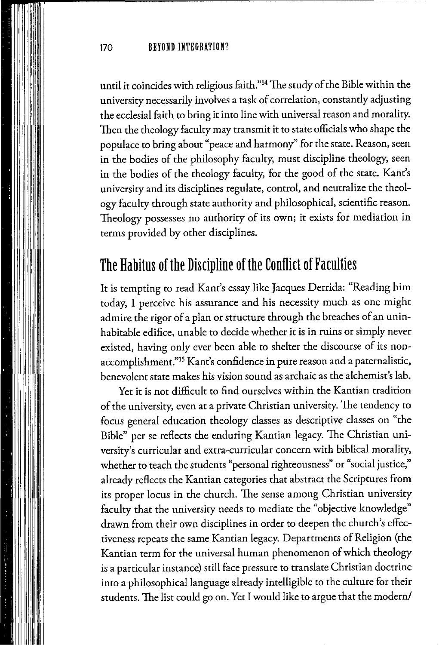until it coincides with religious faith."14 The study of the Bible within the university necessarily involves a task of correlation, constantly adjusting the ecdesial faith to bring it into line with universal reason and morality. Then the theology faculty may transmit it to state officials who shape the populace to bring about "peace and harmony" for the state. Reason, seen in the bodies of the philosophy faculty, must discipline theology, seen in the bodies of the theology faculty, for the good of the state. Kant's university and its disciplines regulate, control, and neutralize the theology faculty through state authority and philosophical, scientific reason. Theology possesses no authority of its own; it exists for mediation in terms provided by other disciplines.

# **The Habitus of the Discipline of the Conflict of Faculties**

It is tempting to read Kant's essay like Jacques Derrida: "Reading him today, I perceive his assurance and his necessity much as one might admire the rigor of a plan or structure through the breaches of an uninhabitable edifice, unable to decide whether it is in ruins or simply never existed, having only ever been able to shelter the discourse of its nonaccomplishment."15 Kant's confidence in pure reason and a paternalistic, benevolent state makes his vision sound as archaic as the alchemist's lab.

Yet it is not difficult to find ourselves within the Kantian tradition of the university, even at a private Christian university. The tendency to focus general education theology classes as descriptive classes on "the Bible" per se reflects the enduring Kantian legacy. The Christian university's curricular and extra-curricular concern with biblical morality, whether to teach the students "personal righteousness" or "social justice," already reflects the Kantian categories that abstract the Scriptures from its proper locus in the church. The sense among Christian university faculty that the university needs to mediate the "objective knowledge" drawn from their own disciplines in order to deepen the church's effectiveness repeats the same Kantian legacy. Departments of Religion (the Kantian term for the universal human phenomenon of which theology is a particular instance) still face pressure to translate Christian doctrine into a philosophical language already intelligible to the culture for their students. The list could go on. Yet I would like to argue that the modern/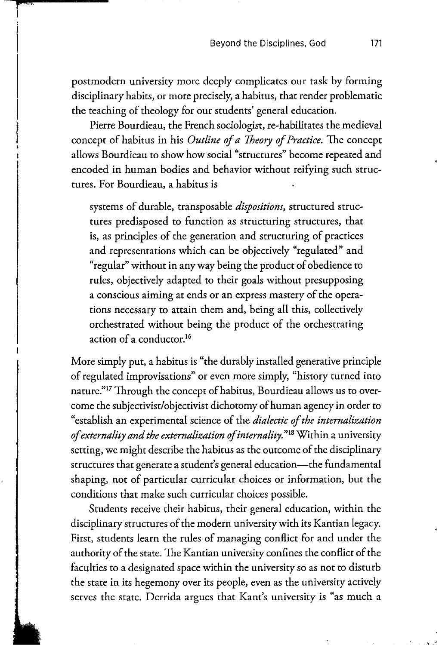postmodern university more deeply complicates our task by forming disciplinary habits, or more precisely, a habitus, that render problematic the teaching of theology for our students' general education.

Pierre Bourdieau, the French sociologist, re-habilitates the medieval concept of habitus in his *Outline of a Theory of Practice.* The concept allows Bourdieau to show how social ''structures" become repeated and encoded in human bodies and behavior without reifying such structures. For Bourdieau, a habitus is

systems of durable, transposable *dispositions,* structured structures predisposed to function as structuring structures, that is, as principles of the generation and structuring of practices and representations which can be objectively "regulated" and "regular" without in any way being the product of obedience to rules, objectively adapted to their goals without presupposing a conscious aiming at ends or an express mastery of the operations necessary to attain them and, being all this, collectively orchestrated without being the product of the orchestrating action of a conductor.<sup>16</sup>

More simply put, a habitus is "the durably installed generative principle of regulated improvisations" or even more simply, "history turned into nature."<sup>17</sup> Through the concept of habitus, Bourdieau allows us to overcome the subjectivist/objectivist dichotomy of human agency in order to "establish an experimental science of the *dialectic of the internalization of externality and the externalization of internality.* "18 Within a university setting, we might describe the habitus as the outcome of the disciplinary structures that generate a student's general education-the fundamental shaping, not of particular curricular choices or information, but the conditions that make such curricular choices possible.

Students receive their habitus, their general education, within the disciplinary structures of the modern university with its Kantian legacy. First, students learn the rules of managing conflict for and under the authority of the state. The Kantian university confines the conflict of the faculties to a designated space within the university so as not to disturb the state in its hegemony over its people, even as the university actively serves the state. Derrida argues that Kant's university is "as much a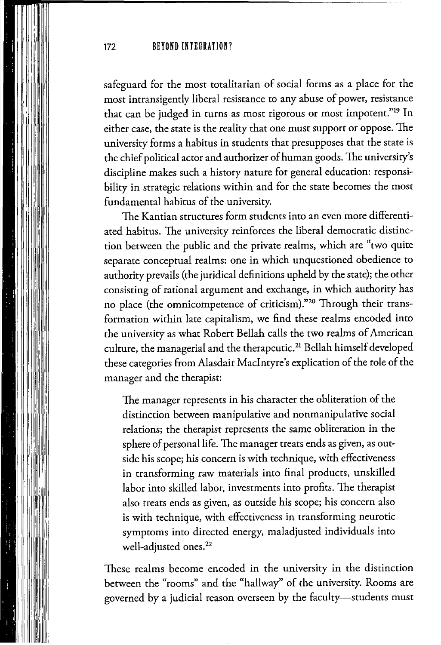safeguard for the most totalitarian of social forms as a place for the most intransigently liberal resistance to any abuse of power, resistance that can be judged in turns as most rigorous or most impotent."<sup>19</sup> In either case, the state is the reality that one must support or oppose. The university forms a habitus in students that presupposes that the state is the chief political actor and authorizer of human goods. The university's discipline makes such a history nature for general education: responsibility in strategic relations within and for the state becomes the most fundamental habitus of the university.

The Kantian structures form students into an even more differentiated habitus. The university reinforces the liberal democratic distinction between the public and the private realms, which are "two quite separate conceptual realms: one in which unquestioned obedience to authority prevails (the juridical definitions upheld by the state); the other consisting of rational argument and exchange, in which authority has no place (the omnicompetence of criticism)."<sup>20</sup> Through their transformation within late capitalism, we find these realms encoded into the university as what Robert Bellah calls the two realms of American culture, the managerial and the therapeutic. 21 Bellah himself developed these categories from Alasdair Maclntyre's explication of the role of the manager and the therapist:

The manager represents in his character the obliteration of the distinction between manipulative and nonmanipulative social relations; the therapist represents the same obliteration in the sphere of personal life. The manager treats ends as given, as outside his scope; his concern is with technique, with effectiveness in transforming raw materials into final products, unskilled labor into skilled labor, investments into profits. The therapist also treats ends as given, as outside his scope; his concern also is with technique, with effectiveness in transforming neurotic symptoms into directed energy, maladjusted individuals into well-adjusted ones. 22

These realms become encoded in the university in the distinction between the "rooms" and the "hallway" of the university. Rooms are governed by a judicial reason overseen by the faculty-students must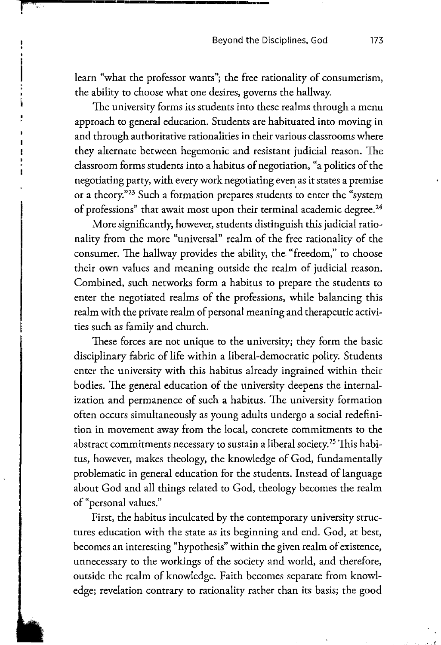learn "what the professor wants"; the free rationality of consumerism, the ability to choose what one desires, governs the hallway.

 $r_{\rm max}$ 

ľ ľ

The university forms its students into these realms through a menu approach to general education. Students are habituated into moving in and through authoritative rationalities in their various classrooms where they alternate between hegemonic and resistant judicial reason. The classroom forms students into a habitus of negotiation, "a politics of the negotiating party, with every work negotiating even as it states a premise or a theory."<sup>23</sup> Such a formation prepares students to enter the "system of professions" that await most upon their terminal academic degree. 24

More significantly, however, students distinguish this judicial rationality from the more "universal" realm of the free rationality of the consumer. The hallway provides the ability, the "freedom," to choose their own values and meaning outside the realm of judicial reason. Combined, such networks form a habitus to prepare the students to enter the negotiated realms of the professions, while balancing this realm with the private realm of personal meaning and therapeutic activities such as family and church.

These forces are not unique to the university; they form the basic disciplinary fabric of life within a liberal-democratic polity. Students enter the university with this habitus already ingrained within their bodies. The general education of the university deepens the internalization and permanence of such a habitus. The university formation often occurs simultaneously as young adults undergo a social redefinition in movement away from the local, concrete commitments to the abstract commitments necessary to sustain a liberal society.<sup>25</sup> This habitus, however, makes theology, the knowledge of God, fundamentally problematic in general education for the students. Instead of language about God and all things related to God, theology becomes the realm of "personal values."

First, the habitus inculcated by the contemporary university structures education with the state as its beginning and end. God, at best, becomes an interesting "hypothesis" within the given realm of existence, unnecessary to the workings of the society and world, and therefore, outside the realm of knowledge. Faith becomes separate from knowledge; revelation contrary to rationality rather than its basis; the good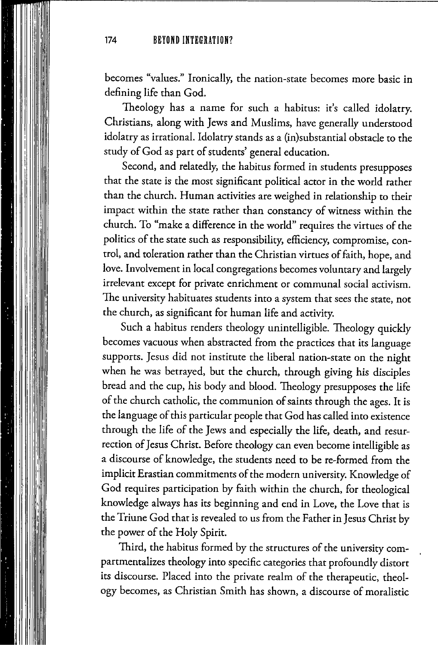becomes "values." Ironically, the nation-state becomes more basic in defining life than God.

Theology has a name for such a habitus: it's called idolatry. Christians, along with Jews and Muslims, have generally understood idolatry as irrational. Idolatry stands as a (in)substantial obstacle to the study of God as part of students' general education.

Second, and relatedly, the habitus formed in students presupposes that the state is the most significant political actor in the world rather than the church. Human activities are weighed in relationship to their impact within the state rather than constancy of witness within the church. To "make a difference in the world" requires the virtues of the politics of the state such as responsibility, efficiency, compromise, control, and toleration rather than the Christian virtues of faith, hope, and love. Involvement in local congregations becomes voluntary and largely irrelevant except for private enrichment or communal social activism. The university habituates students into a system that sees the state, not the church, as significant for human life and activity.

Such a habitus renders theology unintelligible. Theology quickly becomes vacuous when abstracted from the practices that its language supports. Jesus did not institute the liberal nation-state on the night when he was betrayed, but the church, through giving his disciples bread and the cup, his body and blood. Theology presupposes the life of the church catholic, the communion of saints through the ages. It is the language of this particular people that God has called into existence through the life of the Jews and especially the life, death, and resurrection of Jesus Christ. Before theology can even become intelligible as a discourse of knowledge, the students need to be re-formed from the implicit Erastian commitments of the modern university. Knowledge of God requires participation by faith within the church, for theological knowledge always has its beginning and end in Love, the Love that is the Triune God that is revealed to us from the Father in Jesus Christ by the power of the Holy Spirit.

Third, the habitus formed by the structures of the university compartmentalizes theology into specific categories that profoundly distort its discourse. Placed into the private realm of the therapeutic, theology becomes, as Christian Smith has shown, a discourse of moralistic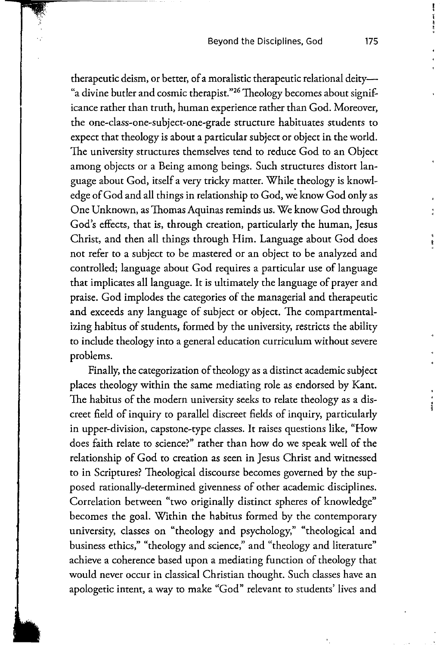therapeutic deism, or better, of a moralistic therapeutic relational deity- "a divine butler and cosmic therapist."<sup>26</sup> Theology becomes about significance rather than truth, human experience rather than God. Moreover, the one-class-one-subject-one-grade structure habituates students to expect that theology is about a particular subject or object in the world. The university structures themselves tend to reduce God to an Object among objects or a Being among beings. Such structures distort language about God, itself a very tricky matter. While theology is knowledge of God and all things in relationship to God, we know God only as One Unknown, as Thomas Aquinas reminds us. We know God through God's effects, that is, through creation, particularly the human, Jesus Christ, and then all things through Him. Language about God does not refer to a subject to be mastered or an object to be analyzed and controlled; language about God requires a particular use of language that implicates all language. It is ultimately the language of prayer and praise. God implodes the categories of the managerial and therapeutic and exceeds any language of subject or object. The compartmentalizing habitus of students, formed by the university, restricts the ability to include theology into a general education curriculum without severe problems.

Finally, the categorization of theology as a distinct academic subject places theology within the same mediating role as endorsed by Kant. The habitus of the modern university seeks to relate theology as a discreet field of inquiry to parallel discreet fields of inquiry, particularly in upper-division, capstone-type classes. It raises questions like, "How does faith relate to science?" rather than how do we speak well of the relationship of God to creation as seen in Jesus Christ and witnessed to in Scriptures? Theological discourse becomes governed by the supposed rationally-determined givenness of other academic disciplines. Correlation between "two originally distinct spheres of knowledge" becomes the goal. Within the habitus formed by the contemporary university, classes on "theology and psychology," "theological and business ethics," "theology and science," and "theology and literature" achieve a coherence based upon a mediating function of theology that would never occur in classical Christian thought. Such classes have an apologetic intent, a way to make "God" relevant to students' lives and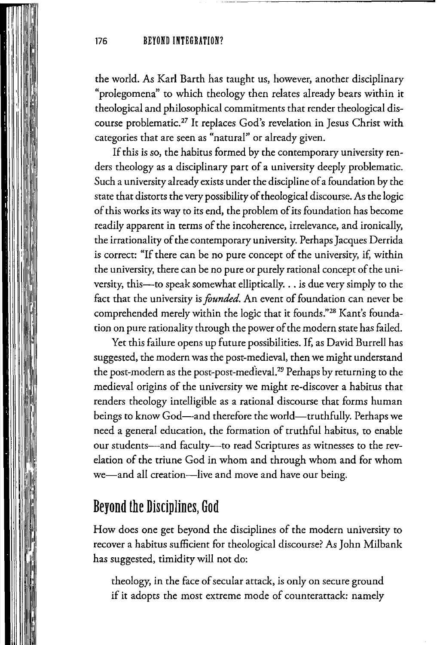the world. As Karl Barth has taught us, however, another disciplinary "prolegomena" to which theology then relates already bears within it theological and philosophical commitments that render theological discourse problematic. 27 It replaces God's revelation in Jesus Christ with categories that are seen as "natural" or already given.

If this is so, the habitus formed by the contemporary university renders theology as a disciplinary part of a university deeply problematic. Such a university already exists under the discipline of a foundation by the state that distorts the very possibility of theological discourse. As the logic of this works its way to its end, the problem of its foundation has become readily apparent in terms of the incoherence, irrelevance, and ironically, the irrationality of the contemporary university. Perhaps Jacques Derrida is correct: "If there can be no pure concept of the university, if, within the university, there can be no pure or purely rational concept of the university, this-to speak somewhat elliptically. . . is due very simply to the fact that the university is *founded.* An event of foundation can never be comprehended merely within the logic that it founds."<sup>28</sup> Kant's foundation on pure rationality through the power of the modern state has failed.

Yet this failure opens up future possibilities. If, as David Burrell has suggested, the modern was the post-medieval, then we might understand the post-modern as the post-post-medieval.29 Perhaps by returning to the medieval origins of the university we might re-discover a habitus that renders theology intelligible as a rational discourse that forms human beings to know God-and therefore the world-truthfully. Perhaps we need a general education, the formation of truthful habitus, to enable our students-and faculty-to read Scriptures as witnesses to the revelation of the triune God in whom and through whom and for whom we—and all creation—live and move and have our being.

### **Beyond the Disciplines, God**

How does one get beyond the disciplines of the modern university to recover a habitus sufficient for theological discourse? As John Milbank has suggested, timidity will not do:

theology, in the face of secular attack, is only on secure ground if it adopts the most extreme mode of counterattack: namely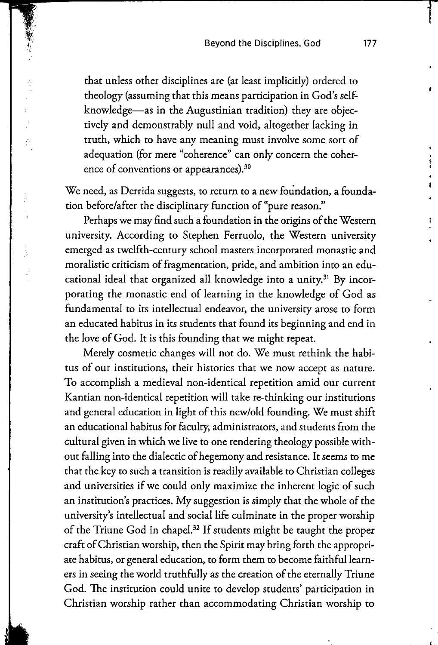that unless other disciplines are (at least implicitly) ordered to theology (assuming that this means participation in God's selfknowledge-as in the Augustinian tradition) they are objectively and demonstrably null and void, altogether lacking in truth, which to have any meaning must involve some sort of adequation (for mere "coherence" can only concern the coherence of conventions or appearances).<sup>30</sup>

We need, as Derrida suggests, to return to a new foundation, a foundation before/after the disciplinary function of "pure reason."

Perhaps we may find such a foundation in the origins of the Western university. According to Stephen Ferruolo, the Western university emerged as twelfth-century school masters incorporated monastic and moralistic criticism of fragmentation, pride, and ambition into an educational ideal that organized all knowledge into a unity.<sup>31</sup> By incorporating the monastic end of learning in the knowledge of God as fundamental to its intellectual endeavor, the university arose to form an educated habitus in its students that found its beginning and end in the love of God. It is this founding that we might repeat.

Merely cosmetic changes will not do. We must rethink the habitus of our institutions, their histories that we now accept as nature. To accomplish a medieval non-identical repetition amid our current Kantian non-identical repetition will take re-thinking our institutions and general education in light of this new/old founding. We must shift an educational habitus for faculty, administrators, and students from the cultural given in which we live to one rendering theology possible without falling into the dialectic of hegemony and resistance. It seems to me that the key to such a transition is readily available to Christian colleges and universities if we could only maximize the inherent logic of such an institution's practices. My suggestion is simply that the whole of the university's intellectual and social life culminate in the proper worship of the Triune God in chapel.<sup>32</sup> If students might be taught the proper craft of Christian worship, then the Spirit may bring forth the appropriate habitus, or general education, to form them to become faithful learners in seeing the world truthfully as the creation of the eternally Triune God. The institution could unite to develop students' participation in Christian worship rather than accommodating Christian worship to

 $\mathfrak{c}$  .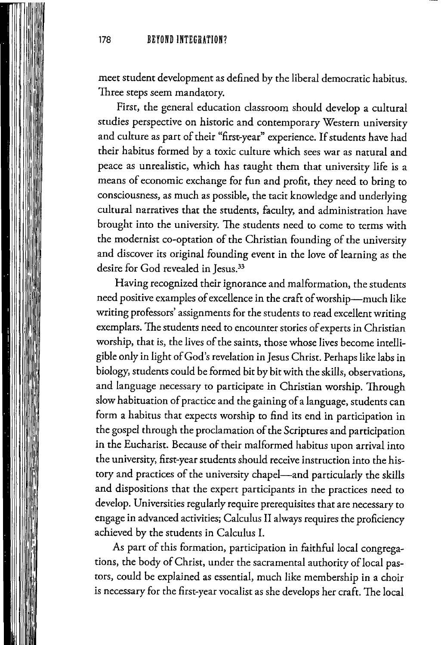meet student development as defined by the liberal democratic habitus. Three steps seem mandatory.

First, the general education classroom should develop a cultural studies perspective on historic and contemporary Western university and culture as part of their "first-year" experience. If students have had their habitus formed by a toxic culture which sees war as natural and peace as unrealistic, which has taught them that university life is a means of economic exchange for fun and profit, they need to bring to consciousness, as much as possible, the tacit knowledge and underlying cultural narratives that the students, faculty, and administration have brought into the university. The students need to come to terms with the modernist co-optation of the Christian founding of the university and discover its original founding event in the love of learning as the desire for God revealed in Jesus.33

Having recognized their ignorance and malformation, the students need positive examples of excellence in the craft of worship-much like writing professors' assignments for the students to read excellent writing exemplars. The students need to encounter stories of experts in Christian worship, that is, the lives of the saints, those whose lives become intelligible only in light of God's revelation in Jesus Christ. Perhaps like labs in biology, students could be formed bit by bit with the skills, observations, and language necessary to participate in Christian worship. Through slow habituation of practice and the gaining of a language, students can form a habitus that expects worship to find its end in participation in the gospel through the proclamation of the Scriptures and participation in the Eucharist. Because of their malformed habitus upon arrival into the university, first-year students should receive instruction into the history and practices of the university chapel-and particularly the skills and dispositions that the expert participants in the practices need to develop. Universities regularly require prerequisites that are necessary to engage in advanced activities; Calculus II always requires the proficiency achieved by the students in Calculus I.

As part of this formation, participation in faithful local congregations, the body of Christ, under the sacramental authority of local pastors, could be explained as essential, much like membership in a choir is necessary for the first-year vocalist as she develops her craft. The local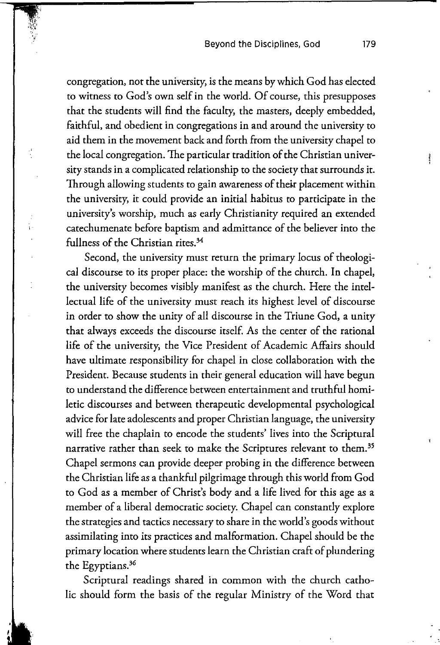congregation, not the university, is the means by which God has elected to witness to God's own self in the world. Of course, this presupposes that the students will find the faculty, the masters, deeply embedded, faithful, and obedient in congregations in and around the university to aid them in the movement back and forth from the university chapel to the local congregation. The particular tradition of the Christian university stands in a complicated relationship to the society that surrounds it. Through allowing students to gain awareness of their placement within the university, it could provide an initial habitus to participate in the university's worship, much as early Christianity required an extended catechumenate before baptism and admittance of the believer into the fullness of the Christian rites.<sup>34</sup>

Second, the university must return the primary locus of theological discourse to its proper place: the worship of the church. In chapel, the university becomes visibly manifest as the church. Here the intellectual life of the university must reach its highest level of discourse in order to show the unity of all discourse in the Triune God, a unity that always exceeds the discourse itself. As the center of the rational life of the university, the Vice President of Academic Affairs should have ultimate responsibility for chapel in close collaboration with the President. Because students in their general education will have begun to understand the difference between entertainment and truthful homiletic discourses and between therapeutic developmental psychological advice for late adolescents and proper Christian language, the university will free the chaplain to encode the students' lives into the Scriptural narrative rather than seek to make the Scriptures relevant to them. 35 Chapel sermons can provide deeper probing in the difference between the Christian life as a thankful pilgrimage through this world from God to God as a member of Christ's body and a life lived for this age as a member of a liberal democratic society. Chapel can constantly explore the strategies and tactics necessary to share in the world's goods without assimilating into its practices and malformation. Chapel should be the primary location where students learn the Christian craft of plundering the Egyptians. 36

Scriptural readings shared in common with the church catholic should form the basis of the regular Ministry of the Word that

Ĭ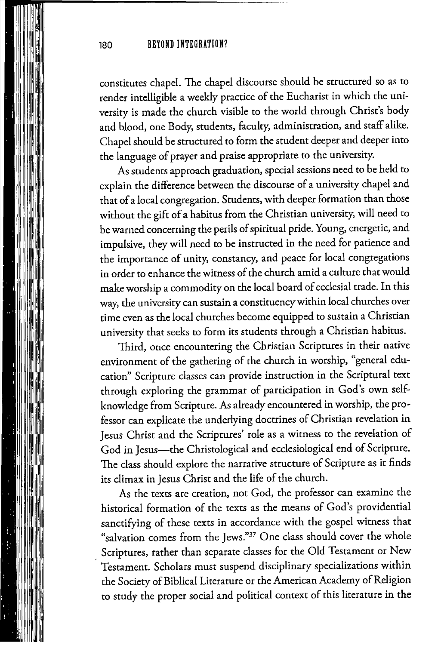constitutes chapel. The chapel discourse should be structured so as to render intelligible a weekly practice of the Eucharist in which the university is made the church visible to the world through Christ's body and blood, one Body, students, faculty, administration, and staff alike. Chapel should be structured to form the student deeper and deeper into the language of prayer and praise appropriate to the university.

As students approach graduation, special sessions need to be held to explain the difference between the discourse of a university chapel and that of a local congregation. Students, with deeper formation than those without the gift of a habitus from the Christian university, will need to be warned concerning the perils of spiritual pride. Young, energetic, and impulsive, they will need to be instructed in the need for patience and the importance of unity, constancy, and peace for local congregations in order to enhance the witness of the church amid a culture that would make worship a commodity on the local board of ecclesial trade. In this way, the university can sustain a constituency within local churches over time even as the local churches become equipped to sustain a Christian university that seeks to form its students through a Christian habitus.

Third, once encountering the Christian Scriptures in their native environment of the gathering of the church in worship, "general education" Scripture classes can provide instruction in the Scriptural text through exploring the grammar of participation in God's own selfknowledge from Scripture. As already encountered in worship, the professor can explicate the underlying doctrines of Christian revelation in Jesus Christ and the Scriptures' role as a witness to the revelation of God in Jesus-the Christological and ecclesiological end of Scripture. The class should explore the narrative structure of Scripture as it finds its climax in Jesus Christ and the life of the church.

As the texts are creation, not God, the professor can examine the historical formation of the texts as the means of God's providential sanctifying of these texts in accordance with the gospel witness that "salvation comes from the Jews."37 One class should cover the whole Scriptures, rather than separate classes for the Old Testament or New Testament. Scholars must suspend disciplinary specializations within the Society of Biblical Literature or the American Academy of Religion to study the proper social and political context of this literature in the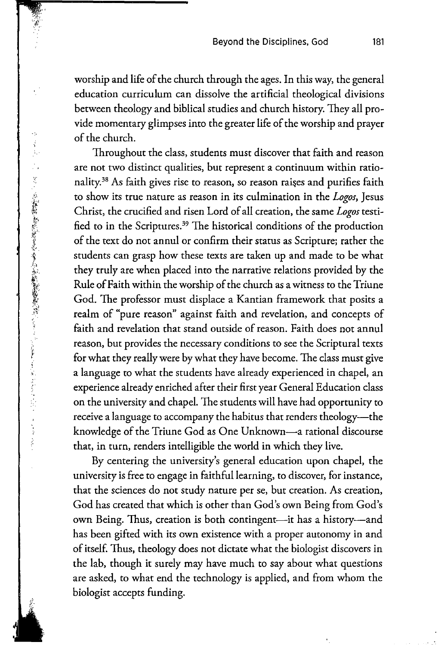worship and life of the church through the ages. In this way, the general education curriculum can dissolve the artificial theological divisions between theology and biblical studies and church history. They all provide momentary glimpses into the greater life of the worship and prayer of the church.

 $\bar{\psi}$ 

「それに、このことを被害を被害を受けると、このことをすることになっていることになっていることに

Throughout the class, students must discover that faith and reason are not two distinct qualities, but represent a continuum within rationality.<sup>38</sup> As faith gives rise to reason, so reason raises and purifies faith to show its true nature as reason in its culmination in the *Logos,* Jesus Christ, the crucified and risen Lord of all creation, the same *Logos* testified to in the Scriptures.<sup>39</sup> The historical conditions of the production of the text do not annul or confirm their status as Scripture; rather the students can grasp how these texts are taken up and made to be what they truly are when placed into the narrative relations provided by the Rule of Paith within the worship of the church as a witness to the Triune God. The professor must displace a Kantian framework that posits a realm of "pure reason" against faith and revelation, and concepts of faith and revelation that stand outside of reason. Faith does not annul reason, but provides the necessary conditions to see the Scriptural texts for what they really were by what they have become. The class must give a language to what the students have already experienced in chapel, an experience already enriched after their first year General Education class on the university and chapel. The students will have had opportuniry to receive a language to accompany the habitus that renders theology---the knowledge of the Triune God as One Unknown-a rational discourse that, in turn, renders intelligible the world in which they live.

By centering the university's general education upon chapel, the university is free to engage in faithful learning, to discover, for instance, that the sciences do not study nature per se, but creation. As creation, God has created that which is other than God's own Being from God's own Being. Thus, creation is both contingent-it has a history-and has been gifted with its own existence with a proper autonomy in and of itself. Thus, theology does not dictate what the biologist discovers in the lab, though it surely may have much to say about what questions are asked, to what end the technology is applied, and from whom the biologist accepts funding.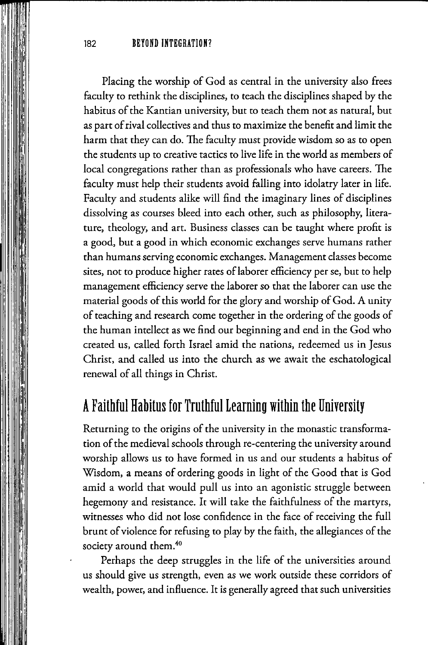Placing the worship of God as central in the university also frees faculty to rethink the disciplines, to teach the disciplines shaped by the habitus of the Kantian university, but to teach them not as natural, but as part of rival collectives and thus to maximize the benefit and limit the harm that they can do. The faculty must provide wisdom so as to open the students up to creative tactics to live life in the world as members of local congregations rather than as professionals who have careers. The faculty must help their students avoid falling into idolatry later in life. Faculty and students alike will find the imaginary lines of disciplines dissolving as courses bleed into each other, such as philosophy, literature, theology, and art. Business classes can be taught where profit is a good, but a good in which economic exchanges serve humans rather than humans serving economic exchanges. Management classes become sites, not to produce higher rates of laborer efficiency per se, but to help management efficiency serve the laborer so that the laborer can use the material goods of this world for the glory and worship of God. A unity of teaching and research come together in the ordering of the goods of the human intellect as we find our beginning and end in the God who created us, called forth Israel amid the nations, redeemed us in Jesus Christ, and called us into the church as we await the eschatological renewal of all things in Christ.

## **A Faithful Habitus forTruthful Learning within the University**

Returning to the origins of the university in the monastic transformation of the medieval schools through re-centering the university around worship allows us to have formed in us and our students a habitus of Wisdom, a means of ordering goods in light of the Good that is God amid a world that would pull us into an agonistic struggle between hegemony and resistance. It will take the faithfulness of the martyrs, witnesses who did not lose confidence in the face of receiving the full brunt of violence for refusing to play by the faith, the allegiances of the society around them.<sup>40</sup>

Perhaps the deep struggles in the life of the universities around us should give us strength, even as we work outside these corridors of wealth, power, and influence. It is generally agreed that such universities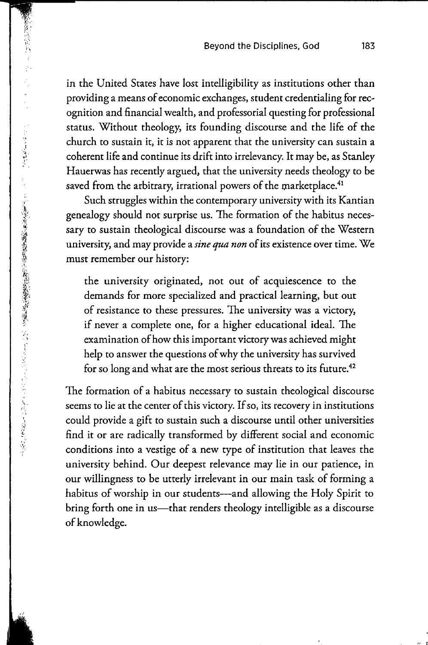in the United States have lost intelligibility as institutions other than providing a means of economic exchanges, student credentialing for recognition and financial wealth, and professorial questing for professional status. Without theology, its founding discourse and the life of the church to sustain it, it is not apparent that the university can sustain a coherent life and continue its drift into irrelevancy. It may be, as Stanley Hauerwas has recently argued, that the university needs theology to be saved from the arbitrary, irrational powers of the marketplace.<sup>41</sup>

Such struggles within the contemporary university with its Kantian genealogy should not surprise us. The formation of the habitus necessary to sustain theological discourse was a foundation of the Western university, and may provide a *sine qua non* of its existence over time. We must remember our history:

the university originated, not out of acquiescence to the demands for more specialized and practical learning, but out of resistance to these pressures. The university was a victory, if never a complete one, for a higher educational ideal. The examination of how this important victory was achieved might help to answer the questions of why the university has survived for so long and what are the most serious threats to its future. <sup>42</sup>

The formation of a habitus necessary to sustain theological discourse seems to lie at the center of this victory. If so, its recovery in institutions could provide a gift to sustain such a discourse until other universities find it or are radically transformed by different social and economic conditions into a vestige of a new type of institution that leaves the university behind. Our deepest relevance may lie in our patience, in our willingness to be utterly irrelevant *in* our main task of forming a habitus of worship in our students-and allowing the Holy Spirit to bring forth one in us-that renders theology intelligible as a discourse of knowledge.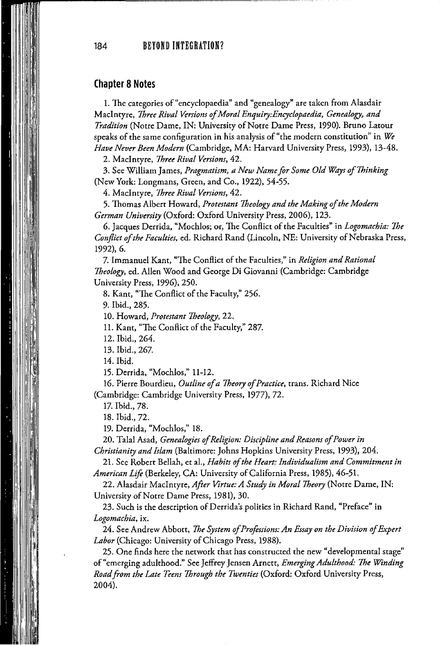### **Chapter 8 Notes**

**1.** The categories of "encyclopaedia" and "genealogy" are taken from Alasdair MacIntyre, *1hree Rival Versions of Moral Enquiry:Encyclopaedia, Genealogy, and Tradition* (Notre Dame, IN: University of Notre Dame Press, 1990). Bruno Lacour speaks of the same configuration in his analysis of"the modern constitution" in *We Have Never Been Modern* (Cambridge, MA: Harvard University Press, 1993), 13-48.

2. MacIntyre, *1hree Rival Versions,* 42.

3. See William James, *Pragmatism, a New Name for Some Old Ways of Thinking* (New York: Longmans, Green, and Co., 1922), 54-55.

4. MacIntyre, *1hree Rival Versions,* 42.

5. Thomas Albert Howard, *Protestant 1heology and the Making of the Modern German University* (Oxford: Oxford University Press, 2006), 123.

6. Jacques Derrida, "Mochlos; or, The Conflict of the Faculties" in *Logomachia: 1he Conflict of the Faculties,* ed. Richard Rand (Lincoln, NE: University of Nebraska Press, 1992), 6.

7. Immanuel Kant, "The Conflict of the Faculties," in *Religion and Rational 1heology,* ed. Allen Wood and George Di Giovanni (Cambridge: Cambridge University Press, 1996), 250.

8. Kant, "The Conflict of the Faculty," 256.

9. Ibid., 285.

10. Howard, *Protestant 1heology,* 22.

11. Kant, "The Conflict of the Faculty," 287.

12. Ibid., 264.

13. Ibid., 267.

14. Ibid.

15. Derrida, "Mochlos," 11-12.

16. Pierre Bourdieu, *Outline of a 1heory of Practice,* trans. Richard Nice (Cambridge: Cambridge University Press, 1977), 72.

17. Ibid., 78.

18. Ibid., 72.

19. Derrida, "Mochlos," 18.

20. Talal Asad, *Genealogies of Religion: Discipline and Reasons of Power in Christianity and Islam* (Baltimore: Johns Hopkins University Press, 1993), 204.

21. See Robert Bellah, et al., *Habits of the Heart: Individualism and Commitment in American Life* (Berkeley, CA: University of California Press, 1985), 46-51.

22. Alasdair MacIntyre, *After Virtue: A Study in Moral 1heory* (Notre Dame, IN: University of Notre Dame Press, 1981), 30.

23. Such is the description of Derrida's politics in Richard Rand, "Preface" in *Logomachia,* ix.

24. See Andrew Abbott, *1he System of Professions: An Essay on the Division of Expert Labor* (Chicago: University of Chicago Press, 1988).

25. One finds here the network that has constructed the new "developmental stage" of"emerging adulthood." See Jeffrey Jensen Arnett, *Emerging Adulthood: 1he Winding Road from the Late Teens 1hrough the Twenties* (Oxford: Oxford University Press, 2004).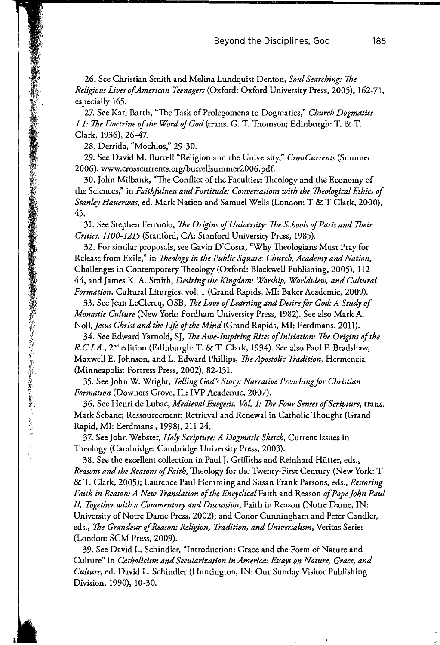26. *See* Christian Smith and Mdina Lundquist Denton, *Soul Searching: 1he Religious Lives of American Teenagers* (Oxford: Oxford University Press, 2005), 162-71, especially 165.

27. *See* Karl Barth, "The Task of Prolegomena to Dogmatics," *Church Dogmatics 1.1: The Doctrine of the Word of God* (trans. G. T. Thomson; Edinburgh: T. & T. Clark, 1936), 26-47.

28. Derrida, "Mochlos," 29-30.

29. *See* David M. Burrell "Religion and the University," *CrossCurrents* (Summer 2006), www.crosscurrents.org/burrellsummer2006.pdf.

30. John Milbank, "The Conflict of the Faculties: Theology and the Economy of the Sciences," in *Faithfulness and Fortitude: Conversations with the 1heological Ethics of Stanley Hauerwas,* ed. Mark Nation and Samuel Wells (London: T & T Clark, 2000), 45.

31. *See* Stephen Ferruolo, *The Origins of University: The Schools of Paris and Their Critics, 1100-1215* (Stanford, CA: Stanford University Press, 1985).

32. For similar proposals, *see* Gavin D'Costa, "Why Theologians Must Pray for Release from Exile," in *Theology in the Public Square: Church, Academy and Nation,*  Challenges in Contemporary Theology (Oxford: Blackwell Publishing, 2005), 112- 44, and James K. A. Smith, *Desiring the Kingdom: Worship, Worldview, and Cultural Formation,* Cultural Liturgies, vol. 1 (Grand Rapids, MI: Baker Academic, 2009).

33. See Jean LeClercq, OSB, *1he Love of Learning and Desire for God: A Study of Monastic Culture (New* York: Fordham University Press, 1982). *See* also Mark A. Noll, *Jesus Christ and the Life of the Mind* (Grand Rapids, MI: Eerdmans, 2011).

34. *See* Edward Yarnold, SJ, *The Awe-Inspiring Rites of Initiation: 1he Origins of the R.C.IA.,* 2nd edition (Edinburgh: T. & T. Clark, 1994). *See* also Paul F. Bradshaw, Maxwell E. Johnson, and L. Edward Phillips, *The Apostolic Tradition,* Hermeneia (Minneapolis: Fortress Press, 2002), 82-151.

35. *See* John W. Wright, *Telling God's Story: Narrative Preaching/or Christian Formation* (Downers Grove, IL: IVP Academic, 2007).

36. See Henri de Lubac, *Medieval Exegesis. Vol. 1: The Four Senses of Scripture,* trans. Mark Sebanc; Ressourcement: Retrieval and Renewal in Catholic Thought (Grand Rapid, MI: Eerdmans, 1998), 211-24.

37. *See* John Webster, *Holy Scripture: A Dogmatic Sketch,* Current Issues in Theology (Cambridge: Cambridge University Press, 2003).

38. *See* the excellent collection in Paul J. Griffiths and Reinhard Hutter, eds., *Reasons and the Reasons of Faith,* Theology for the Twenty-First Century (New York: T & T. Clark, 2005); Laurence Paul Hemming and Susan Frank Parsons, eds., *Restoring Faith in Reason: A New Translation of the Encyclical* Faith and Reason *of Pope John Paul fl Together with a Commentary and Discussion,* Faith in Reason (Notre Dame, IN: University of Notre Dame Press, 2002); and Conor Cunningham and Peter Candler, eds., *1he Grandeur of Reason: Religion, Tradition, and Universalism,* Veritas Series (London: SCM Press, 2009).

39. See David L. Schindler, "Introduction: Grace and the Form of Nature and Culture" in *Catholicism and Secularization in America: Essays on Nature, Grace, and Culture,* ed. David L. Schindler (Huntington, IN: Our Sunday Visitor Publishing Division, 1990), 10-30.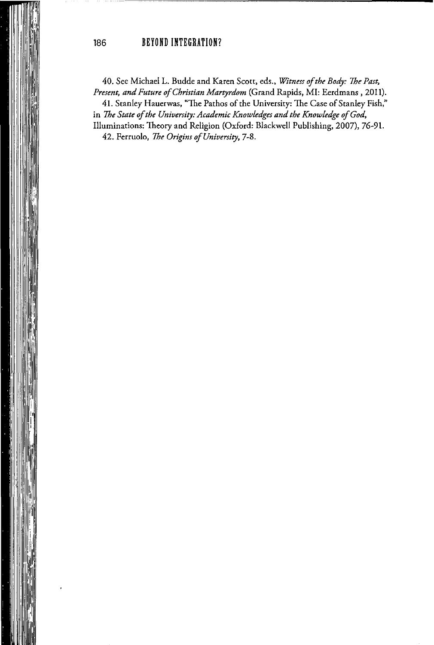40. See Michael L. Budde and Karen Scott, eds., *Witness of the Body: The Past, Present, and Future of Christian Martyrdom* (Grand Rapids, Ml: Eerdmans , 2011).

41. Stanley Hauerwas, "The Pathos of the University: The Case of Stanley Fish," in *The State of the University: Academic Knowledges and the Knowledge of God,* 

Illuminations: Theory and Religion (Oxford: Blackwell Publishing, 2007), 76-91.

42. Ferruolo, *The Origins of University,* 7-8.